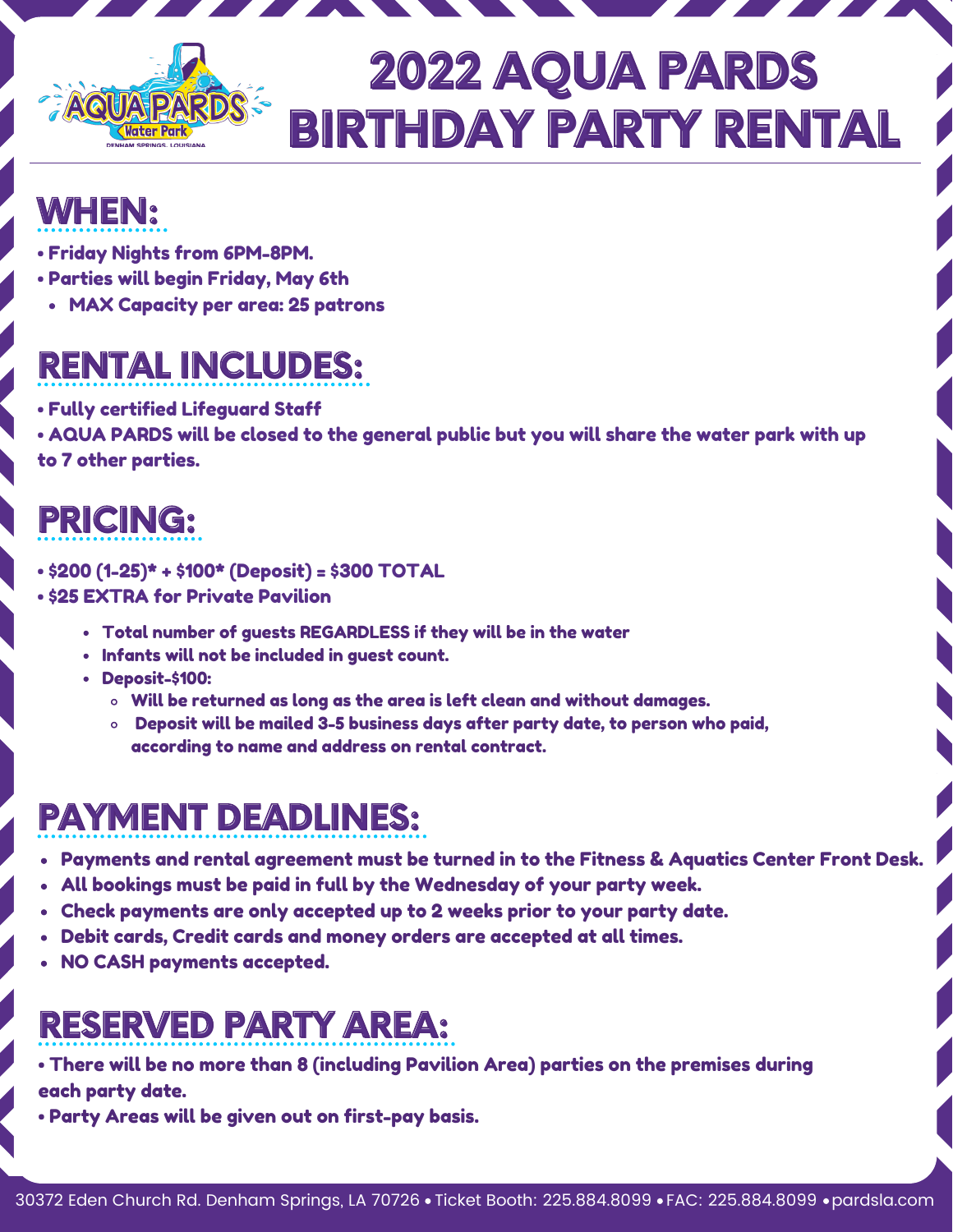

# **2022 AQUA PARDS BIRTHDAY PARTY RENTAL**

# **WHEN:**

- Friday Nights from 6PM-8PM.
- Parties will begin Friday, May 6th
	- MAX Capacity per area: 25 patrons

# **RENTAL INCLUDES:**

- Fully certified Lifeguard Staff
- AQUA PARDS will be closed to the general public but you will share the water park with up to 7 other parties.

# **PRICING:**

- \$200 (1-25)\* + \$100\* (Deposit) = \$300 TOTAL
- \$25 EXTRA for Private Pavilion
	- Total number of guests REGARDLESS if they will be in the water
	- Infants will not be included in guest count.
	- Deposit-\$100:
		- $\circ$  Will be returned as long as the area is left clean and without damages.
		- Deposit will be mailed 3-5 business days after party date, to person who paid, according to name and address on rental contract.

# **PAYMENT DEADLINES:**

- Payments and rental agreement must be turned in to the Fitness & Aquatics Center Front Desk.
- All bookings must be paid in full by the Wednesday of your party week.
- Check payments are only accepted up to 2 weeks prior to your party date.
- Debit cards, Credit cards and money orders are accepted at all times.
- NO CASH payments accepted.

# **RESERVED PARTY AREA:**

- There will be no more than 8 (including Pavilion Area) parties on the premises during each party date.
- Party Areas will be given out on first-pay basis.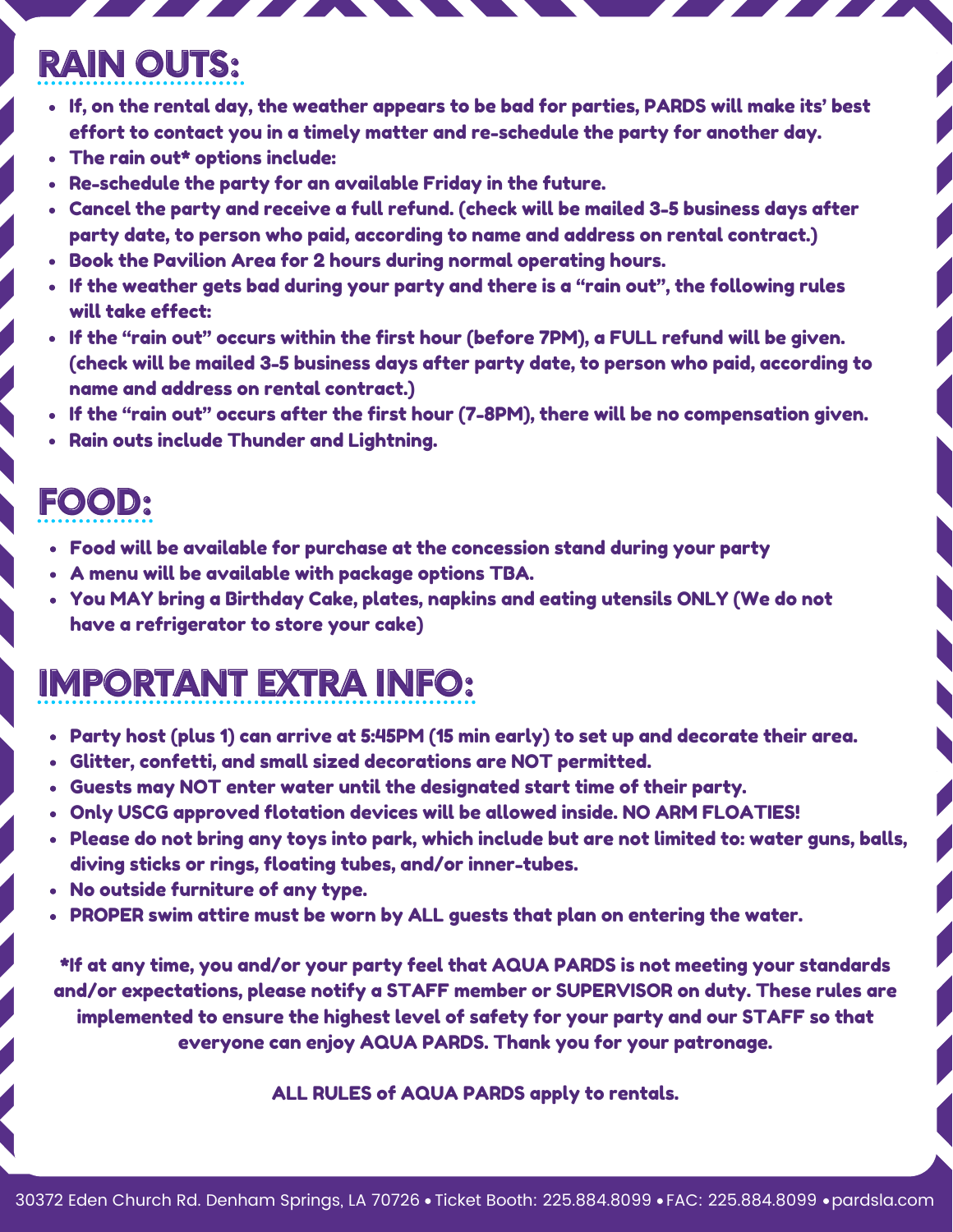#### **RAIN OUTS:**

- If, on the rental day, the weather appears to be bad for parties, PARDS will make its' best effort to contact you in a timely matter and re-schedule the party for another day.
- The rain out\* options include:
- Re-schedule the party for an available Friday in the future.
- Cancel the party and receive a full refund. (check will be mailed 3-5 business days after party date, to person who paid, according to name and address on rental contract.)
- Book the Pavilion Area for 2 hours during normal operating hours.
- If the weather gets bad during your party and there is a "rain out", the following rules will take effect:
- If the "rain out" occurs within the first hour (before 7PM), a FULL refund will be given. (check will be mailed 3-5 business days after party date, to person who paid, according to name and address on rental contract.)
- If the "rain out" occurs after the first hour (7-8PM), there will be no compensation given.
- Rain outs include Thunder and Lightning.

#### **FOOD:**

- Food will be available for purchase at the concession stand during your party
- A menu will be available with package options TBA.
- You MAY bring a Birthday Cake, plates, napkins and eating utensils ONLY (We do not have a refrigerator to store your cake)

# **IMPORTANT EXTRA INFO:**

- Party host (plus 1) can arrive at 5:45PM (15 min early) to set up and decorate their area.
- Glitter, confetti, and small sized decorations are NOT permitted.
- Guests may NOT enter water until the designated start time of their party.
- Only USCG approved flotation devices will be allowed inside. NO ARM FLOATIES!
- Please do not bring any toys into park, which include but are not limited to: water guns, balls, diving sticks or rings, floating tubes, and/or inner-tubes.
- No outside furniture of any type.
- PROPER swim attire must be worn by ALL guests that plan on entering the water.

\*If at any time, you and/or your party feel that AQUA PARDS is not meeting your standards and/or expectations, please notify a STAFF member or SUPERVISOR on duty. These rules are implemented to ensure the highest level of safety for your party and our STAFF so that everyone can enjoy AQUA PARDS. Thank you for your patronage.

ALL RULES of AQUA PARDS apply to rentals.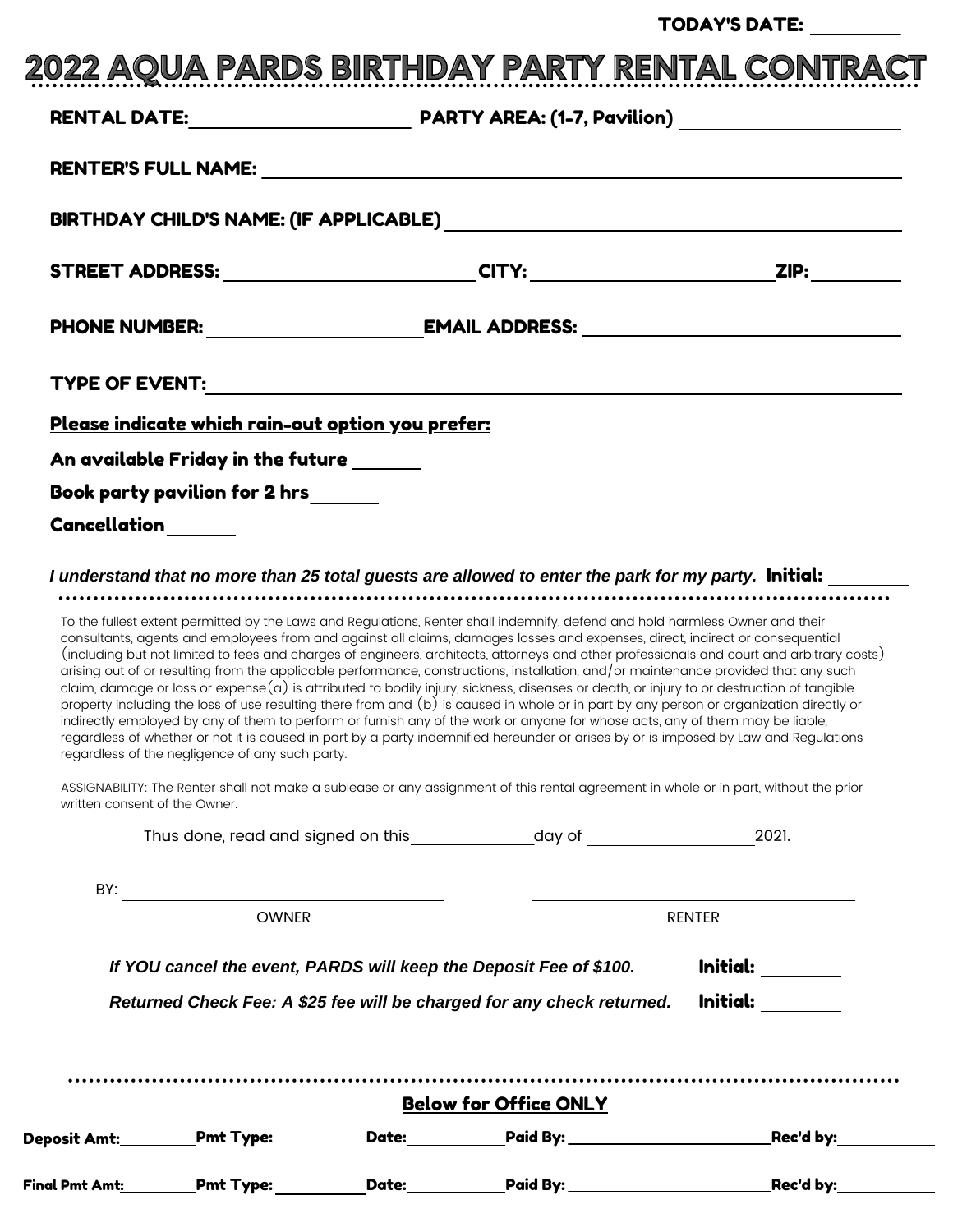#### TODAY'S DATE:

| STREET ADDRESS: ________________________CITY: ____________________________ZIP: _________<br><u>Please indicate which rain-out option you prefer:</u><br>An available Friday in the future ______<br>Book party pavilion for 2 hrs______<br>Cancellation______<br>I understand that no more than 25 total guests are allowed to enter the park for my party. <b>Initial:</b><br>To the fullest extent permitted by the Laws and Regulations, Renter shall indemnify, defend and hold harmless Owner and their<br>consultants, agents and employees from and against all claims, damages losses and expenses, direct, indirect or consequential<br>(including but not limited to fees and charges of engineers, architects, attorneys and other professionals and court and arbitrary costs)<br>arising out of or resulting from the applicable performance, constructions, installation, and/or maintenance provided that any such<br>claim, damage or loss or expense $(a)$ is attributed to bodily injury, sickness, diseases or death, or injury to or destruction of tangible<br>property including the loss of use resulting there from and (b) is caused in whole or in part by any person or organization directly or<br>indirectly employed by any of them to perform or furnish any of the work or anyone for whose acts, any of them may be liable,<br>regardless of whether or not it is caused in part by a party indemnified hereunder or arises by or is imposed by Law and Regulations<br>regardless of the negligence of any such party.<br>ASSIGNABILITY: The Renter shall not make a sublease or any assignment of this rental agreement in whole or in part, without the prior<br>written consent of the Owner.<br>2021.<br><b>OWNER</b><br>RENTER<br>If YOU cancel the event, PARDS will keep the Deposit Fee of \$100. |  |  |                                                                                |
|--------------------------------------------------------------------------------------------------------------------------------------------------------------------------------------------------------------------------------------------------------------------------------------------------------------------------------------------------------------------------------------------------------------------------------------------------------------------------------------------------------------------------------------------------------------------------------------------------------------------------------------------------------------------------------------------------------------------------------------------------------------------------------------------------------------------------------------------------------------------------------------------------------------------------------------------------------------------------------------------------------------------------------------------------------------------------------------------------------------------------------------------------------------------------------------------------------------------------------------------------------------------------------------------------------------------------------------------------------------------------------------------------------------------------------------------------------------------------------------------------------------------------------------------------------------------------------------------------------------------------------------------------------------------------------------------------------------------------------------------------------------------------------------------------------------------------------------------|--|--|--------------------------------------------------------------------------------|
|                                                                                                                                                                                                                                                                                                                                                                                                                                                                                                                                                                                                                                                                                                                                                                                                                                                                                                                                                                                                                                                                                                                                                                                                                                                                                                                                                                                                                                                                                                                                                                                                                                                                                                                                                                                                                                            |  |  |                                                                                |
|                                                                                                                                                                                                                                                                                                                                                                                                                                                                                                                                                                                                                                                                                                                                                                                                                                                                                                                                                                                                                                                                                                                                                                                                                                                                                                                                                                                                                                                                                                                                                                                                                                                                                                                                                                                                                                            |  |  |                                                                                |
|                                                                                                                                                                                                                                                                                                                                                                                                                                                                                                                                                                                                                                                                                                                                                                                                                                                                                                                                                                                                                                                                                                                                                                                                                                                                                                                                                                                                                                                                                                                                                                                                                                                                                                                                                                                                                                            |  |  |                                                                                |
|                                                                                                                                                                                                                                                                                                                                                                                                                                                                                                                                                                                                                                                                                                                                                                                                                                                                                                                                                                                                                                                                                                                                                                                                                                                                                                                                                                                                                                                                                                                                                                                                                                                                                                                                                                                                                                            |  |  |                                                                                |
|                                                                                                                                                                                                                                                                                                                                                                                                                                                                                                                                                                                                                                                                                                                                                                                                                                                                                                                                                                                                                                                                                                                                                                                                                                                                                                                                                                                                                                                                                                                                                                                                                                                                                                                                                                                                                                            |  |  |                                                                                |
|                                                                                                                                                                                                                                                                                                                                                                                                                                                                                                                                                                                                                                                                                                                                                                                                                                                                                                                                                                                                                                                                                                                                                                                                                                                                                                                                                                                                                                                                                                                                                                                                                                                                                                                                                                                                                                            |  |  |                                                                                |
|                                                                                                                                                                                                                                                                                                                                                                                                                                                                                                                                                                                                                                                                                                                                                                                                                                                                                                                                                                                                                                                                                                                                                                                                                                                                                                                                                                                                                                                                                                                                                                                                                                                                                                                                                                                                                                            |  |  |                                                                                |
|                                                                                                                                                                                                                                                                                                                                                                                                                                                                                                                                                                                                                                                                                                                                                                                                                                                                                                                                                                                                                                                                                                                                                                                                                                                                                                                                                                                                                                                                                                                                                                                                                                                                                                                                                                                                                                            |  |  |                                                                                |
|                                                                                                                                                                                                                                                                                                                                                                                                                                                                                                                                                                                                                                                                                                                                                                                                                                                                                                                                                                                                                                                                                                                                                                                                                                                                                                                                                                                                                                                                                                                                                                                                                                                                                                                                                                                                                                            |  |  |                                                                                |
|                                                                                                                                                                                                                                                                                                                                                                                                                                                                                                                                                                                                                                                                                                                                                                                                                                                                                                                                                                                                                                                                                                                                                                                                                                                                                                                                                                                                                                                                                                                                                                                                                                                                                                                                                                                                                                            |  |  |                                                                                |
|                                                                                                                                                                                                                                                                                                                                                                                                                                                                                                                                                                                                                                                                                                                                                                                                                                                                                                                                                                                                                                                                                                                                                                                                                                                                                                                                                                                                                                                                                                                                                                                                                                                                                                                                                                                                                                            |  |  |                                                                                |
|                                                                                                                                                                                                                                                                                                                                                                                                                                                                                                                                                                                                                                                                                                                                                                                                                                                                                                                                                                                                                                                                                                                                                                                                                                                                                                                                                                                                                                                                                                                                                                                                                                                                                                                                                                                                                                            |  |  |                                                                                |
|                                                                                                                                                                                                                                                                                                                                                                                                                                                                                                                                                                                                                                                                                                                                                                                                                                                                                                                                                                                                                                                                                                                                                                                                                                                                                                                                                                                                                                                                                                                                                                                                                                                                                                                                                                                                                                            |  |  |                                                                                |
|                                                                                                                                                                                                                                                                                                                                                                                                                                                                                                                                                                                                                                                                                                                                                                                                                                                                                                                                                                                                                                                                                                                                                                                                                                                                                                                                                                                                                                                                                                                                                                                                                                                                                                                                                                                                                                            |  |  |                                                                                |
|                                                                                                                                                                                                                                                                                                                                                                                                                                                                                                                                                                                                                                                                                                                                                                                                                                                                                                                                                                                                                                                                                                                                                                                                                                                                                                                                                                                                                                                                                                                                                                                                                                                                                                                                                                                                                                            |  |  |                                                                                |
|                                                                                                                                                                                                                                                                                                                                                                                                                                                                                                                                                                                                                                                                                                                                                                                                                                                                                                                                                                                                                                                                                                                                                                                                                                                                                                                                                                                                                                                                                                                                                                                                                                                                                                                                                                                                                                            |  |  |                                                                                |
| Returned Check Fee: A \$25 fee will be charged for any check returned.                                                                                                                                                                                                                                                                                                                                                                                                                                                                                                                                                                                                                                                                                                                                                                                                                                                                                                                                                                                                                                                                                                                                                                                                                                                                                                                                                                                                                                                                                                                                                                                                                                                                                                                                                                     |  |  |                                                                                |
|                                                                                                                                                                                                                                                                                                                                                                                                                                                                                                                                                                                                                                                                                                                                                                                                                                                                                                                                                                                                                                                                                                                                                                                                                                                                                                                                                                                                                                                                                                                                                                                                                                                                                                                                                                                                                                            |  |  | $\boxed{\textbf{Initial:}\_\_\_\_\_\_\_\_\_\_\_}$<br><u>  Initial: _______</u> |
| <b>Below for Office ONLY</b>                                                                                                                                                                                                                                                                                                                                                                                                                                                                                                                                                                                                                                                                                                                                                                                                                                                                                                                                                                                                                                                                                                                                                                                                                                                                                                                                                                                                                                                                                                                                                                                                                                                                                                                                                                                                               |  |  |                                                                                |
| Deposit Amt:__________Pmt Type:                                                                                                                                                                                                                                                                                                                                                                                                                                                                                                                                                                                                                                                                                                                                                                                                                                                                                                                                                                                                                                                                                                                                                                                                                                                                                                                                                                                                                                                                                                                                                                                                                                                                                                                                                                                                            |  |  |                                                                                |